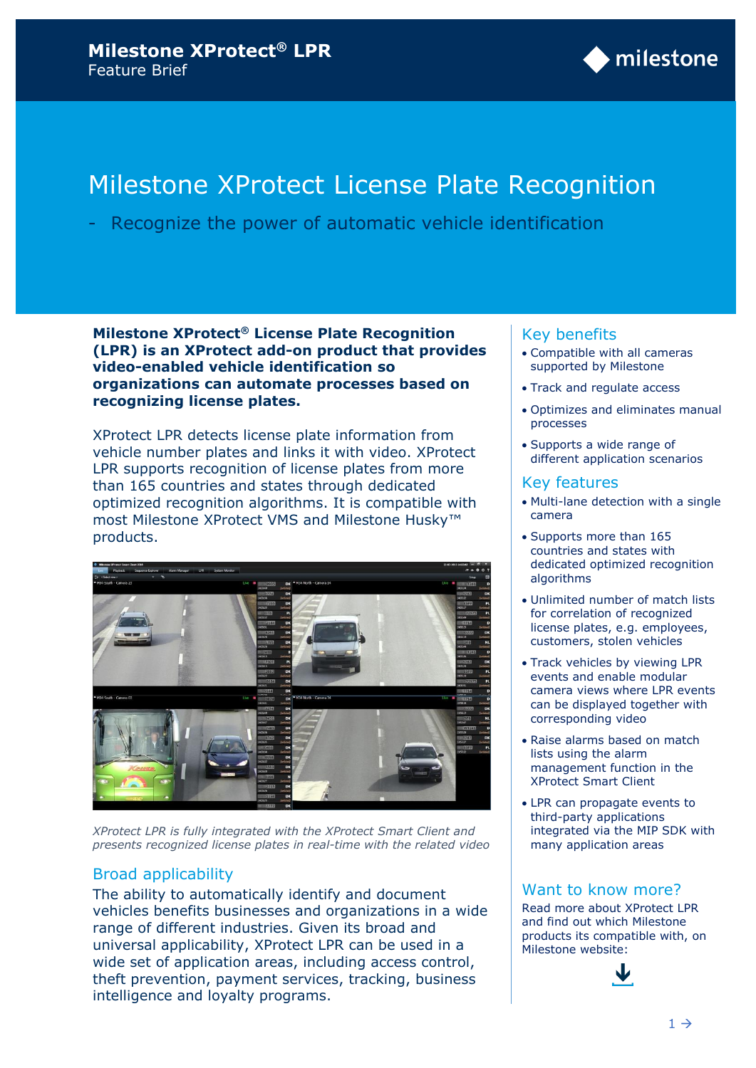

# Milestone XProtect License Plate Recognition

- Recognize the power of automatic vehicle identification

**Milestone XProtect® License Plate Recognition (LPR) is an XProtect add-on product that provides video-enabled vehicle identification so organizations can automate processes based on recognizing license plates.**

XProtect LPR detects license plate information from vehicle number plates and links it with video. XProtect LPR supports recognition of license plates from more than 165 countries and states through dedicated optimized recognition algorithms. It is compatible with most Milestone XProtect VMS and Milestone Husky™ products.



*XProtect LPR is fully integrated with the XProtect Smart Client and presents recognized license plates in real-time with the related video*

## Broad applicability

The ability to automatically identify and document vehicles benefits businesses and organizations in a wide range of different industries. Given its broad and universal applicability, XProtect LPR can be used in a wide set of application areas, including access control, theft prevention, payment services, tracking, business intelligence and loyalty programs.

#### Key benefits

- Compatible with all cameras supported by Milestone
- Track and regulate access
- Optimizes and eliminates manual processes
- Supports a wide range of different application scenarios

#### Key features

- Multi-lane detection with a single camera
- Supports more than 165 countries and states with dedicated optimized recognition algorithms
- Unlimited number of match lists for correlation of recognized license plates, e.g. employees, customers, stolen vehicles
- Track vehicles by viewing LPR events and enable modular camera views where LPR events can be displayed together with corresponding video
- Raise alarms based on match lists using the alarm management function in the XProtect Smart Client
- LPR can propagate events to third-party applications integrated via the MIP SDK with many application areas

#### Want to know more?

Read more about XProtect LPR and find out which Milestone products its compatible with, on Milestone website:

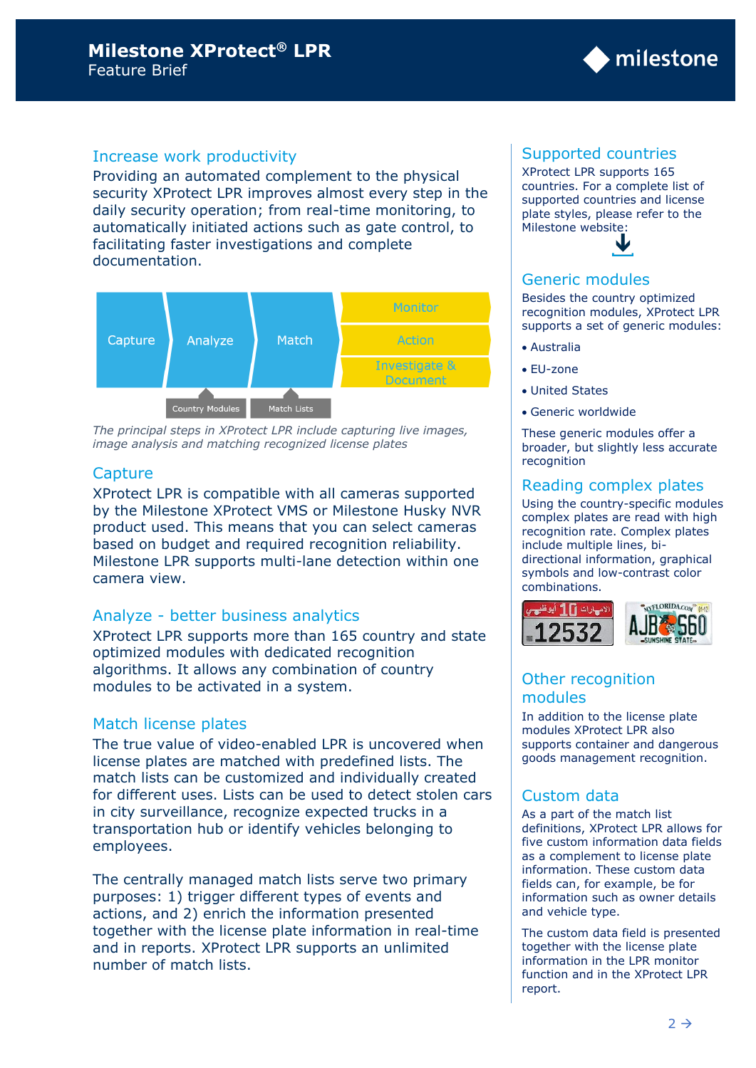## Increase work productivity

Providing an automated complement to the physical security XProtect LPR improves almost every step in the daily security operation; from real-time monitoring, to automatically initiated actions such as gate control, to facilitating faster investigations and complete documentation.



*The principal steps in XProtect LPR include capturing live images, image analysis and matching recognized license plates* 

## **Capture**

XProtect LPR is compatible with all cameras supported by the Milestone XProtect VMS or Milestone Husky NVR product used. This means that you can select cameras based on budget and required recognition reliability. Milestone LPR supports multi-lane detection within one camera view.

## Analyze - better business analytics

XProtect LPR supports more than 165 country and state optimized modules with dedicated recognition algorithms. It allows any combination of country modules to be activated in a system.

## Match license plates

The true value of video-enabled LPR is uncovered when license plates are matched with predefined lists. The match lists can be customized and individually created for different uses. Lists can be used to detect stolen cars in city surveillance, recognize expected trucks in a transportation hub or identify vehicles belonging to employees.

The centrally managed match lists serve two primary purposes: 1) trigger different types of events and actions, and 2) enrich the information presented together with the license plate information in real-time and in reports. XProtect LPR supports an unlimited number of match lists.

#### Supported countries

XProtect LPR supports 165 countries. For a complete list of supported countries and license plate styles, please refer to the Milestone website:

milestone



#### Generic modules

Besides the country optimized recognition modules, XProtect LPR supports a set of generic modules:

- Australia
- EU-zone
- United States
- Generic worldwide

These generic modules offer a broader, but slightly less accurate recognition

#### Reading complex plates

Using the country-specific modules complex plates are read with high recognition rate. Complex plates include multiple lines, bidirectional information, graphical symbols and low-contrast color combinations.



# Other recognition modules

In addition to the license plate modules XProtect LPR also supports container and dangerous goods management recognition.

## Custom data

As a part of the match list definitions, XProtect LPR allows for five custom information data fields as a complement to license plate information. These custom data fields can, for example, be for information such as owner details and vehicle type.

The custom data field is presented together with the license plate information in the LPR monitor function and in the XProtect LPR report.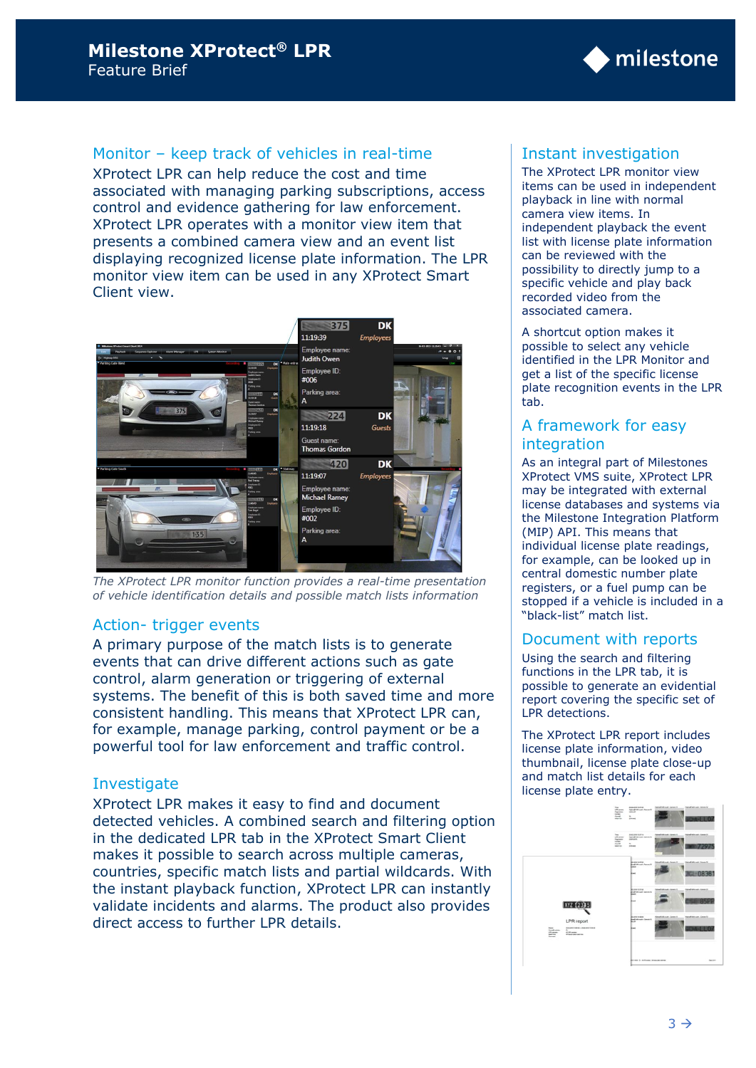# Monitor – keep track of vehicles in real-time

XProtect LPR can help reduce the cost and time associated with managing parking subscriptions, access control and evidence gathering for law enforcement. XProtect LPR operates with a monitor view item that presents a combined camera view and an event list displaying recognized license plate information. The LPR monitor view item can be used in any XProtect Smart Client view.



*The XProtect LPR monitor function provides a real-time presentation of vehicle identification details and possible match lists information*

## Action- trigger events

A primary purpose of the match lists is to generate events that can drive different actions such as gate control, alarm generation or triggering of external systems. The benefit of this is both saved time and more consistent handling. This means that XProtect LPR can, for example, manage parking, control payment or be a powerful tool for law enforcement and traffic control.

## Investigate

XProtect LPR makes it easy to find and document detected vehicles. A combined search and filtering option in the dedicated LPR tab in the XProtect Smart Client makes it possible to search across multiple cameras, countries, specific match lists and partial wildcards. With the instant playback function, XProtect LPR can instantly validate incidents and alarms. The product also provides direct access to further LPR details.

# Instant investigation

The XProtect LPR monitor view items can be used in independent playback in line with normal camera view items. In independent playback the event list with license plate information can be reviewed with the possibility to directly jump to a specific vehicle and play back recorded video from the associated camera.

◆ milestone

A shortcut option makes it possible to select any vehicle identified in the LPR Monitor and get a list of the specific license plate recognition events in the LPR tab.

## A framework for easy integration

As an integral part of Milestones XProtect VMS suite, XProtect LPR may be integrated with external license databases and systems via the Milestone Integration Platform (MIP) API. This means that individual license plate readings, for example, can be looked up in central domestic number plate registers, or a fuel pump can be stopped if a vehicle is included in a "black-list" match list.

## Document with reports

Using the search and filtering functions in the LPR tab, it is possible to generate an evidential report covering the specific set of LPR detections.

The XProtect LPR report includes license plate information, video thumbnail, license plate close-up and match list details for each license plate entry.